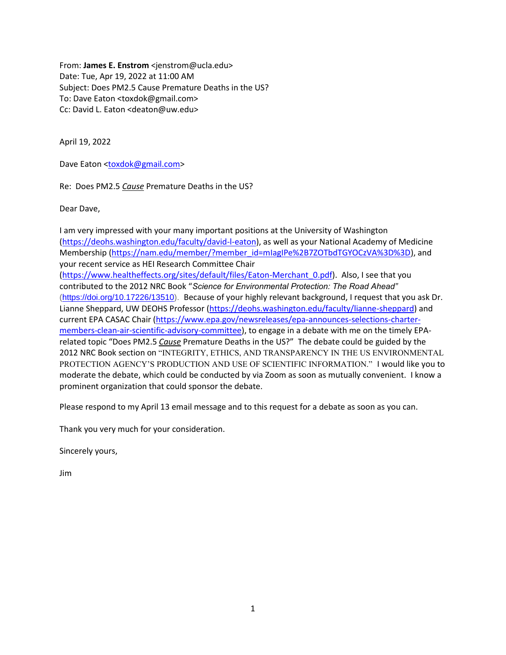From: **James E. Enstrom** <jenstrom@ucla.edu> Date: Tue, Apr 19, 2022 at 11:00 AM Subject: Does PM2.5 Cause Premature Deaths in the US? To: Dave Eaton <toxdok@gmail.com> Cc: David L. Eaton <deaton@uw.edu>

April 19, 2022

Dave Eaton [<toxdok@gmail.com>](mailto:toxdok@gmail.com)

Re: Does PM2.5 *Cause* Premature Deaths in the US?

Dear Dave,

I am very impressed with your many important positions at the University of Washington [\(https://deohs.washington.edu/faculty/david-l-eaton\)](https://deohs.washington.edu/faculty/david-l-eaton), as well as your National Academy of Medicine Membership [\(https://nam.edu/member/?member\\_id=mIagIPe%2B7ZOTbdTGYOCzVA%3D%3D\)](https://nam.edu/member/?member_id=mIagIPe%2B7ZOTbdTGYOCzVA%3D%3D), and your recent service as HEI Research Committee Chair [\(https://www.healtheffects.org/sites/default/files/Eaton-Merchant\\_0.pdf\)](https://www.healtheffects.org/sites/default/files/Eaton-Merchant_0.pdf). Also, I see that you contributed to the 2012 NRC Book "*Science for Environmental Protection: The Road Ahead"* [\(https://doi.org/10.17226/13510\)](https://doi.org/10.17226/13510). Because of your highly relevant background, I request that you ask Dr. Lianne Sheppard, UW DEOHS Professor [\(https://deohs.washington.edu/faculty/lianne-sheppard\)](https://deohs.washington.edu/faculty/lianne-sheppard) and current EPA CASAC Chair [\(https://www.epa.gov/newsreleases/epa-announces-selections-charter](https://www.epa.gov/newsreleases/epa-announces-selections-charter-members-clean-air-scientific-advisory-committee)[members-clean-air-scientific-advisory-committee\)](https://www.epa.gov/newsreleases/epa-announces-selections-charter-members-clean-air-scientific-advisory-committee), to engage in a debate with me on the timely EPArelated topic "Does PM2.5 *Cause* Premature Deaths in the US?" The debate could be guided by the 2012 NRC Book section on "INTEGRITY, ETHICS, AND TRANSPARENCY IN THE US ENVIRONMENTAL PROTECTION AGENCY'S PRODUCTION AND USE OF SCIENTIFIC INFORMATION." I would like you to moderate the debate, which could be conducted by via Zoom as soon as mutually convenient. I know a prominent organization that could sponsor the debate.

Please respond to my April 13 email message and to this request for a debate as soon as you can.

Thank you very much for your consideration.

Sincerely yours,

Jim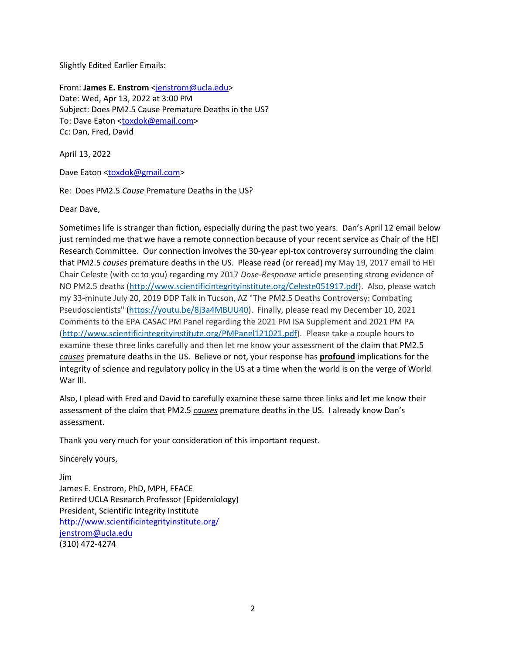Slightly Edited Earlier Emails:

From: **James E. Enstrom** [<jenstrom@ucla.edu>](mailto:jenstrom@ucla.edu) Date: Wed, Apr 13, 2022 at 3:00 PM Subject: Does PM2.5 Cause Premature Deaths in the US? To: Dave Eaton [<toxdok@gmail.com>](mailto:toxdok@gmail.com) Cc: Dan, Fred, David

April 13, 2022

Dave Eaton [<toxdok@gmail.com>](mailto:toxdok@gmail.com)

Re: Does PM2.5 *Cause* Premature Deaths in the US?

Dear Dave,

Sometimes life is stranger than fiction, especially during the past two years. Dan's April 12 email below just reminded me that we have a remote connection because of your recent service as Chair of the HEI Research Committee. Our connection involves the 30-year epi-tox controversy surrounding the claim that PM2.5 *causes* premature deaths in the US. Please read (or reread) my May 19, 2017 email to HEI Chair Celeste (with cc to you) regarding my 2017 *Dose-Response* article presenting strong evidence of NO PM2.5 deaths [\(http://www.scientificintegrityinstitute.org/Celeste051917.pdf\)](http://www.scientificintegrityinstitute.org/Celeste051917.pdf). Also, please watch my 33-minute July 20, 2019 DDP Talk in Tucson, AZ "The PM2.5 Deaths Controversy: Combating Pseudoscientists" [\(https://youtu.be/8j3a4MBUU40\)](https://youtu.be/8j3a4MBUU40). Finally, please read my December 10, 2021 Comments to the EPA CASAC PM Panel regarding the 2021 PM ISA Supplement and 2021 PM PA [\(http://www.scientificintegrityinstitute.org/PMPanel121021.pdf\)](http://www.scientificintegrityinstitute.org/PMPanel121021.pdf). Please take a couple hours to examine these three links carefully and then let me know your assessment of the claim that PM2.5 *causes* premature deaths in the US. Believe or not, your response has **profound** implications for the integrity of science and regulatory policy in the US at a time when the world is on the verge of World War III.

Also, I plead with Fred and David to carefully examine these same three links and let me know their assessment of the claim that PM2.5 *causes* premature deaths in the US. I already know Dan's assessment.

Thank you very much for your consideration of this important request.

Sincerely yours,

Jim James E. Enstrom, PhD, MPH, FFACE Retired UCLA Research Professor (Epidemiology) President, Scientific Integrity Institute <http://www.scientificintegrityinstitute.org/> [jenstrom@ucla.edu](mailto:jenstrom@ucla.edu) (310) 472-4274